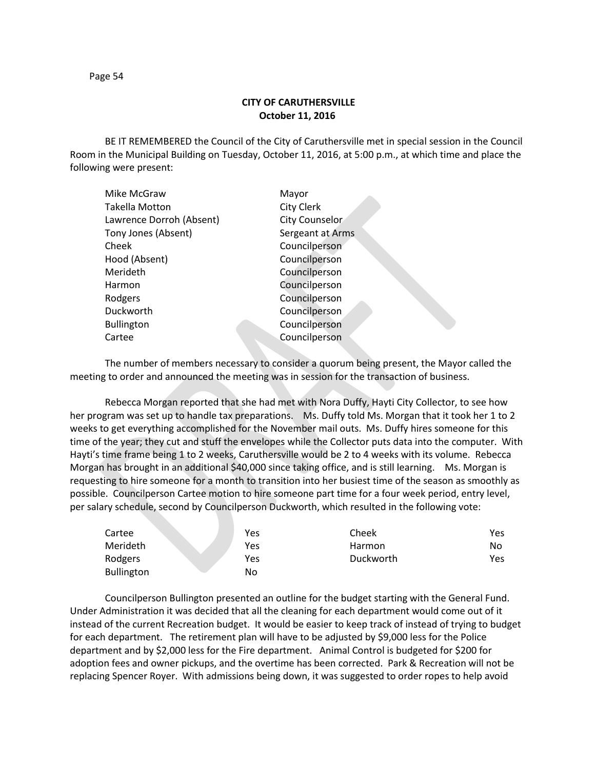## **CITY OF CARUTHERSVILLE October 11, 2016**

BE IT REMEMBERED the Council of the City of Caruthersville met in special session in the Council Room in the Municipal Building on Tuesday, October 11, 2016, at 5:00 p.m., at which time and place the following were present:

| Mike McGraw              | Mayor            |
|--------------------------|------------------|
| <b>Takella Motton</b>    | City Clerk       |
| Lawrence Dorroh (Absent) | City Counselor   |
| Tony Jones (Absent)      | Sergeant at Arms |
| Cheek                    | Councilperson    |
| Hood (Absent)            | Councilperson    |
| Merideth                 | Councilperson    |
| Harmon                   | Councilperson    |
| Rodgers                  | Councilperson    |
| Duckworth                | Councilperson    |
| <b>Bullington</b>        | Councilperson    |
| Cartee                   | Councilperson    |
|                          |                  |

The number of members necessary to consider a quorum being present, the Mayor called the meeting to order and announced the meeting was in session for the transaction of business.

Rebecca Morgan reported that she had met with Nora Duffy, Hayti City Collector, to see how her program was set up to handle tax preparations. Ms. Duffy told Ms. Morgan that it took her 1 to 2 weeks to get everything accomplished for the November mail outs. Ms. Duffy hires someone for this time of the year; they cut and stuff the envelopes while the Collector puts data into the computer. With Hayti's time frame being 1 to 2 weeks, Caruthersville would be 2 to 4 weeks with its volume. Rebecca Morgan has brought in an additional \$40,000 since taking office, and is still learning. Ms. Morgan is requesting to hire someone for a month to transition into her busiest time of the season as smoothly as possible. Councilperson Cartee motion to hire someone part time for a four week period, entry level, per salary schedule, second by Councilperson Duckworth, which resulted in the following vote:

| Cartee            | Yes | Cheek     | Yes |
|-------------------|-----|-----------|-----|
| Merideth          | Yes | Harmon    | No  |
| Rodgers           | Yes | Duckworth | Yes |
| <b>Bullington</b> | No  |           |     |

Councilperson Bullington presented an outline for the budget starting with the General Fund. Under Administration it was decided that all the cleaning for each department would come out of it instead of the current Recreation budget. It would be easier to keep track of instead of trying to budget for each department. The retirement plan will have to be adjusted by \$9,000 less for the Police department and by \$2,000 less for the Fire department. Animal Control is budgeted for \$200 for adoption fees and owner pickups, and the overtime has been corrected. Park & Recreation will not be replacing Spencer Royer. With admissions being down, it was suggested to order ropes to help avoid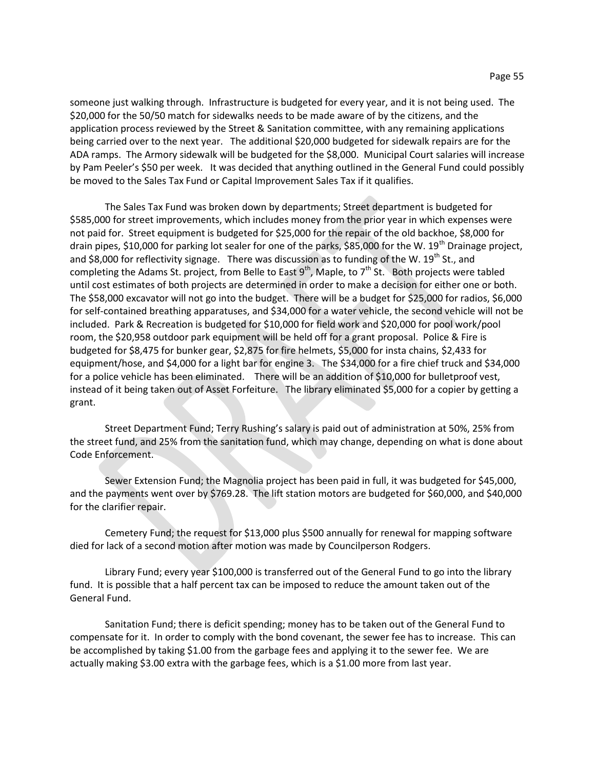someone just walking through. Infrastructure is budgeted for every year, and it is not being used. The \$20,000 for the 50/50 match for sidewalks needs to be made aware of by the citizens, and the application process reviewed by the Street & Sanitation committee, with any remaining applications being carried over to the next year. The additional \$20,000 budgeted for sidewalk repairs are for the ADA ramps. The Armory sidewalk will be budgeted for the \$8,000. Municipal Court salaries will increase by Pam Peeler's \$50 per week. It was decided that anything outlined in the General Fund could possibly be moved to the Sales Tax Fund or Capital Improvement Sales Tax if it qualifies.

The Sales Tax Fund was broken down by departments; Street department is budgeted for \$585,000 for street improvements, which includes money from the prior year in which expenses were not paid for. Street equipment is budgeted for \$25,000 for the repair of the old backhoe, \$8,000 for drain pipes, \$10,000 for parking lot sealer for one of the parks, \$85,000 for the W. 19<sup>th</sup> Drainage project, and \$8,000 for reflectivity signage. There was discussion as to funding of the W.  $19^{th}$  St., and completing the Adams St. project, from Belle to East  $9^{th}$ , Maple, to  $7^{th}$  St. Both projects were tabled until cost estimates of both projects are determined in order to make a decision for either one or both. The \$58,000 excavator will not go into the budget. There will be a budget for \$25,000 for radios, \$6,000 for self-contained breathing apparatuses, and \$34,000 for a water vehicle, the second vehicle will not be included. Park & Recreation is budgeted for \$10,000 for field work and \$20,000 for pool work/pool room, the \$20,958 outdoor park equipment will be held off for a grant proposal. Police & Fire is budgeted for \$8,475 for bunker gear, \$2,875 for fire helmets, \$5,000 for insta chains, \$2,433 for equipment/hose, and \$4,000 for a light bar for engine 3. The \$34,000 for a fire chief truck and \$34,000 for a police vehicle has been eliminated. There will be an addition of \$10,000 for bulletproof vest, instead of it being taken out of Asset Forfeiture. The library eliminated \$5,000 for a copier by getting a grant.

Street Department Fund; Terry Rushing's salary is paid out of administration at 50%, 25% from the street fund, and 25% from the sanitation fund, which may change, depending on what is done about Code Enforcement.

Sewer Extension Fund; the Magnolia project has been paid in full, it was budgeted for \$45,000, and the payments went over by \$769.28. The lift station motors are budgeted for \$60,000, and \$40,000 for the clarifier repair.

Cemetery Fund; the request for \$13,000 plus \$500 annually for renewal for mapping software died for lack of a second motion after motion was made by Councilperson Rodgers.

Library Fund; every year \$100,000 is transferred out of the General Fund to go into the library fund. It is possible that a half percent tax can be imposed to reduce the amount taken out of the General Fund.

Sanitation Fund; there is deficit spending; money has to be taken out of the General Fund to compensate for it. In order to comply with the bond covenant, the sewer fee has to increase. This can be accomplished by taking \$1.00 from the garbage fees and applying it to the sewer fee. We are actually making \$3.00 extra with the garbage fees, which is a \$1.00 more from last year.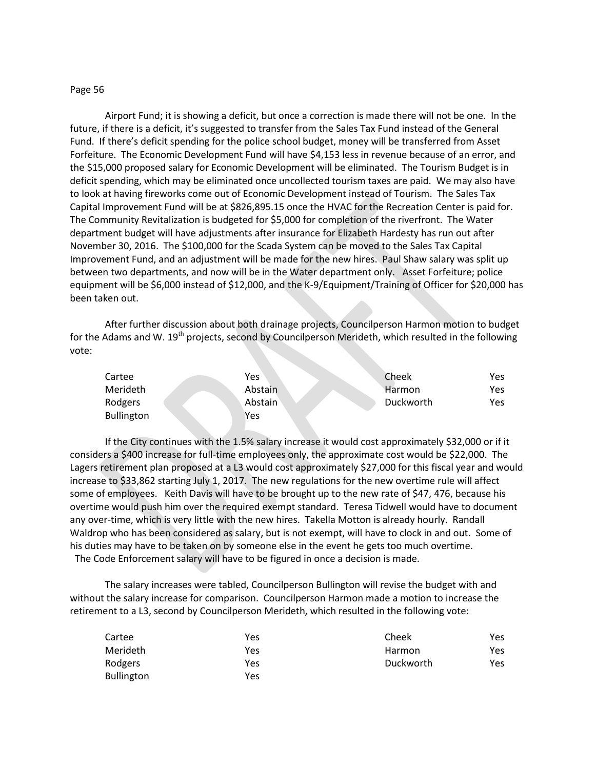## Page 56

Airport Fund; it is showing a deficit, but once a correction is made there will not be one. In the future, if there is a deficit, it's suggested to transfer from the Sales Tax Fund instead of the General Fund. If there's deficit spending for the police school budget, money will be transferred from Asset Forfeiture. The Economic Development Fund will have \$4,153 less in revenue because of an error, and the \$15,000 proposed salary for Economic Development will be eliminated. The Tourism Budget is in deficit spending, which may be eliminated once uncollected tourism taxes are paid. We may also have to look at having fireworks come out of Economic Development instead of Tourism. The Sales Tax Capital Improvement Fund will be at \$826,895.15 once the HVAC for the Recreation Center is paid for. The Community Revitalization is budgeted for \$5,000 for completion of the riverfront. The Water department budget will have adjustments after insurance for Elizabeth Hardesty has run out after November 30, 2016. The \$100,000 for the Scada System can be moved to the Sales Tax Capital Improvement Fund, and an adjustment will be made for the new hires. Paul Shaw salary was split up between two departments, and now will be in the Water department only. Asset Forfeiture; police equipment will be \$6,000 instead of \$12,000, and the K-9/Equipment/Training of Officer for \$20,000 has been taken out.

After further discussion about both drainage projects, Councilperson Harmon motion to budget for the Adams and W. 19<sup>th</sup> projects, second by Councilperson Merideth, which resulted in the following vote:

| Cartee            | Yes     | Cheek     | Yes |
|-------------------|---------|-----------|-----|
| Merideth          | Abstain | Harmon    | Yes |
| Rodgers           | Abstain | Duckworth | Yes |
| <b>Bullington</b> | Yes     |           |     |

If the City continues with the 1.5% salary increase it would cost approximately \$32,000 or if it considers a \$400 increase for full-time employees only, the approximate cost would be \$22,000. The Lagers retirement plan proposed at a L3 would cost approximately \$27,000 for this fiscal year and would increase to \$33,862 starting July 1, 2017. The new regulations for the new overtime rule will affect some of employees. Keith Davis will have to be brought up to the new rate of \$47, 476, because his overtime would push him over the required exempt standard. Teresa Tidwell would have to document any over-time, which is very little with the new hires. Takella Motton is already hourly. Randall Waldrop who has been considered as salary, but is not exempt, will have to clock in and out. Some of his duties may have to be taken on by someone else in the event he gets too much overtime. The Code Enforcement salary will have to be figured in once a decision is made.

The salary increases were tabled, Councilperson Bullington will revise the budget with and without the salary increase for comparison. Councilperson Harmon made a motion to increase the retirement to a L3, second by Councilperson Merideth, which resulted in the following vote:

| Cartee            | Yes | Cheek     | Yes |
|-------------------|-----|-----------|-----|
| Merideth          | Yes | Harmon    | Yes |
| Rodgers           | Yes | Duckworth | Yes |
| <b>Bullington</b> | Yes |           |     |